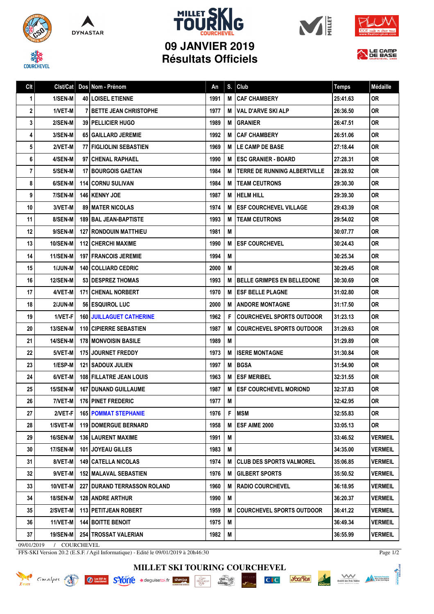









LE CAMP

| Clt |                 | Clst/Cat   Dos   Nom - Prénom   | An   | S. | Club                                | <b>Temps</b> | Médaille       |
|-----|-----------------|---------------------------------|------|----|-------------------------------------|--------------|----------------|
| 1   | 1/SEN-M         | <b>40 LOISEL ETIENNE</b>        | 1991 | M  | <b>CAF CHAMBERY</b>                 | 25:41.63     | <b>OR</b>      |
| 2   | 1/VET-M         | <b>BETTE JEAN CHRISTOPHE</b>    | 1977 | M  | <b>VAL D'ARVE SKI ALP</b>           | 26:36.50     | 0R             |
| 3   | 2/SEN-M         | <b>39   PELLICIER HUGO</b>      | 1989 | M  | <b>GRANIER</b>                      | 26:47.51     | 0R             |
| 4   | 3/SEN-M         | 65 GAILLARD JEREMIE             | 1992 | м  | <b>CAF CHAMBERY</b>                 | 26:51.06     | <b>OR</b>      |
| 5   | 2/VET-M         | <b>77 FIGLIOLINI SEBASTIEN</b>  | 1969 | M  | LE CAMP DE BASE                     | 27:18.44     | <b>OR</b>      |
| 6   | 4/SEN-M         | 97 CHENAL RAPHAEL               | 1990 | м  | <b>ESC GRANIER - BOARD</b>          | 27:28.31     | <b>OR</b>      |
| 7   | 5/SEN-M         | <b>17 BOURGOIS GAETAN</b>       | 1984 | M  | <b>TERRE DE RUNNING ALBERTVILLE</b> | 28:28.92     | 0R             |
| 8   | 6/SEN-M         | 114   CORNU SULIVAN             | 1984 | м  | <b>TEAM CEUTRONS</b>                | 29:30.30     | <b>OR</b>      |
| 9   | 7/SEN-M         | <b>146 KENNY JOE</b>            | 1987 | M  | <b>HELM HILL</b>                    | 29:39.30     | <b>OR</b>      |
| 10  | 3/VET-M         | <b>89   MATER NICOLAS</b>       | 1974 | M  | <b>ESF COURCHEVEL VILLAGE</b>       | 29:43.39     | <b>OR</b>      |
| 11  | 8/SEN-M         | <b>189 BAL JEAN-BAPTISTE</b>    | 1993 | M  | <b>TEAM CEUTRONS</b>                | 29:54.02     | <b>OR</b>      |
| 12  | 9/SEN-M         | <b>127 RONDOUIN MATTHIEU</b>    | 1981 | M  |                                     | 30:07.77     | <b>OR</b>      |
| 13  | <b>10/SEN-M</b> | <b>112 CHERCHI MAXIME</b>       | 1990 | M  | <b>ESF COURCHEVEL</b>               | 30:24.43     | <b>OR</b>      |
| 14  | 11/SEN-M        | <b>197   FRANCOIS JEREMIE</b>   | 1994 | M  |                                     | 30:25.34     | 0R             |
| 15  | <b>1/JUN-M</b>  | <b>140   COLLIARD CEDRIC</b>    | 2000 | M  |                                     | 30:29.45     | 0R             |
| 16  | <b>12/SEN-M</b> | 53 DESPREZ THOMAS               | 1993 | M  | <b>BELLE GRIMPES EN BELLEDONE</b>   | 30:30.69     | 0R             |
| 17  | 4/VET-M         | 171 CHENAL NORBERT              | 1970 | M  | <b>ESF BELLE PLAGNE</b>             | 31:02.80     | 0R             |
| 18  | 2/JUN-M         | 56 ESQUIROL LUC                 | 2000 | M  | <b>ANDORE MONTAGNE</b>              | 31:17.50     | <b>OR</b>      |
| 19  | 1/VET-F         | <b>160 JUILLAGUET CATHERINE</b> | 1962 | F  | <b>COURCHEVEL SPORTS OUTDOOR</b>    | 31:23.13     | 0R             |
| 20  | <b>13/SEN-M</b> | 110 CIPIERRE SEBASTIEN          | 1987 | M  | <b>COURCHEVEL SPORTS OUTDOOR</b>    | 31:29.63     | <b>OR</b>      |
| 21  | <b>14/SEN-M</b> | <b>178   MONVOISIN BASILE</b>   | 1989 | М  |                                     | 31:29.89     | <b>OR</b>      |
| 22  | 5/VET-M         | 175 JOURNET FREDDY              | 1973 | M  | <b>ISERE MONTAGNE</b>               | 31:30.84     | <b>OR</b>      |
| 23  | 1/ESP-M         | <b>121   SADOUX JULIEN</b>      | 1997 | M  | <b>BGSA</b>                         | 31:54.90     | <b>OR</b>      |
| 24  | 6/VET-M         | 108 FILLATRE JEAN LOUIS         | 1963 | M  | <b>ESF MERIBEL</b>                  | 32:31.55     | <b>OR</b>      |
| 25  | 15/SEN-M        | <b>167 I DUNAND GUILLAUME</b>   | 1987 | м  | <b>ESF COURCHEVEL MORIOND</b>       | 32:37.83     | 0R             |
| 26  | 7/VET-M         | <b>176 PINET FREDERIC</b>       | 1977 | M  |                                     | 32:42.95     | <b>OR</b>      |
| 27  | 2/VET-F         | <b>165 POMMAT STEPHANIE</b>     | 1976 | F  | <b>MSM</b>                          | 32:55.83     | 0R             |
| 28  | 1/SVET-M        | <b>119 DOMERGUE BERNARD</b>     | 1958 | M  | ESF AIME 2000                       | 33:05.13     | <b>OR</b>      |
| 29  | <b>16/SEN-M</b> | <b>136   LAURENT MAXIME</b>     | 1991 | M  |                                     | 33:46.52     | <b>VERMEIL</b> |
| 30  | <b>17/SEN-M</b> | <b>101 JOYEAU GILLES</b>        | 1983 | M  |                                     | 34:35.00     | <b>VERMEIL</b> |
| 31  | 8/VET-M         | <b>149   CATELLA NICOLAS</b>    | 1974 | M  | <b>CLUB DES SPORTS VALMOREL</b>     | 35:06.85     | <b>VERMEIL</b> |
| 32  | $9/VET-M$       | <b>152 MALAVAL SEBASTIEN</b>    | 1976 | М  | <b>GILBERT SPORTS</b>               | 35:50.52     | <b>VERMEIL</b> |
| 33  | 10/VET-M        | 227 DURAND TERRASSON ROLAND     | 1960 | M  | <b>RADIO COURCHEVEL</b>             | 36:18.95     | <b>VERMEIL</b> |
| 34  | <b>18/SEN-M</b> | <b>128 ANDRE ARTHUR</b>         | 1990 | М  |                                     | 36:20.37     | <b>VERMEIL</b> |
| 35  | 2/SVET-M        | 113 PETITJEAN ROBERT            | 1959 | M  | <b>COURCHEVEL SPORTS OUTDOOR</b>    | 36:41.22     | <b>VERMEIL</b> |
| 36  | 11/VET-M        | <b>144 BOITTE BENOIT</b>        | 1975 | M  |                                     | 36:49.34     | <b>VERMEIL</b> |
| 37  | <b>19/SEN-M</b> | 254 TROSSAT VALERIAN            | 1982 | M  |                                     | 36:55.99     | <b>VERMEIL</b> |

09/01/2019 / COURCHEVEL

KRIDER Cimalpes

FFS-SKI Version 20.2 (E.S.F. / Agil Informatique) - Edité le 09/01/2019 à 20h46:30

**Ø** Les ESF de S<sup>L</sup>YOTTE ★ deguisetoi.fr sherpa

Page 1/2

Scrift des Treix Vallées<br>Scrift des Treix Vallées<br>et de montagne

*<u><b>Socifica*</u>

 $CI$ 

DNTMONE

**MILLET SKI TOURING COURCHEVEL**

chez...

**INTABLE**<br>**MANGRAND**